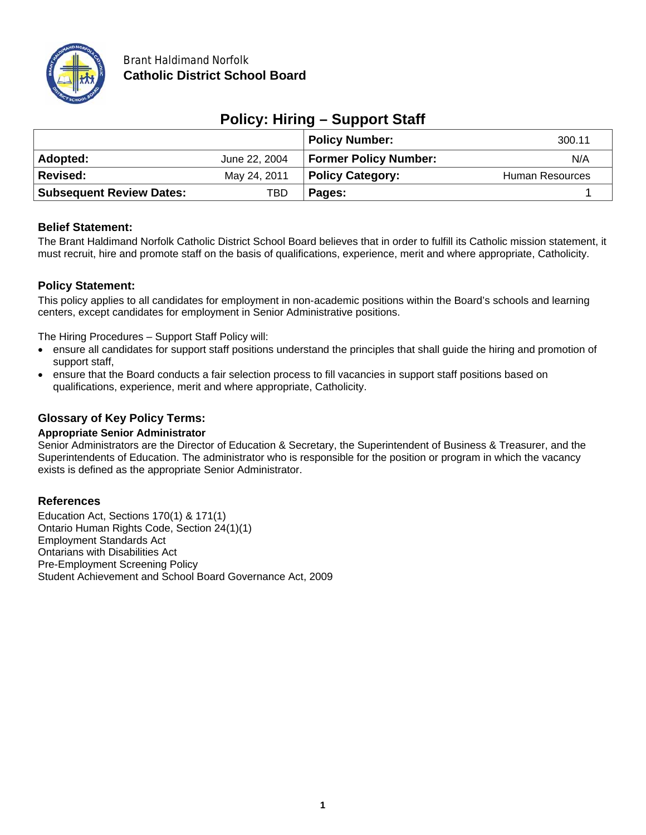

| <b>Policy: Hiring - Support Staff</b> |  |
|---------------------------------------|--|
|---------------------------------------|--|

|                                 |               | <b>Policy Number:</b>        | 300.11          |
|---------------------------------|---------------|------------------------------|-----------------|
| Adopted:                        | June 22, 2004 | <b>Former Policy Number:</b> | N/A             |
| <b>Revised:</b>                 | May 24, 2011  | <b>Policy Category:</b>      | Human Resources |
| <b>Subsequent Review Dates:</b> | TBD           | Pages:                       |                 |

## **Belief Statement:**

The Brant Haldimand Norfolk Catholic District School Board believes that in order to fulfill its Catholic mission statement, it must recruit, hire and promote staff on the basis of qualifications, experience, merit and where appropriate, Catholicity.

# **Policy Statement:**

This policy applies to all candidates for employment in non-academic positions within the Board's schools and learning centers, except candidates for employment in Senior Administrative positions.

The Hiring Procedures – Support Staff Policy will:

- ensure all candidates for support staff positions understand the principles that shall guide the hiring and promotion of support staff,
- ensure that the Board conducts a fair selection process to fill vacancies in support staff positions based on qualifications, experience, merit and where appropriate, Catholicity.

## **Glossary of Key Policy Terms:**

#### **Appropriate Senior Administrator**

Senior Administrators are the Director of Education & Secretary, the Superintendent of Business & Treasurer, and the Superintendents of Education. The administrator who is responsible for the position or program in which the vacancy exists is defined as the appropriate Senior Administrator.

## **References**

Education Act, Sections 170(1) & 171(1) Ontario Human Rights Code, Section 24(1)(1) Employment Standards Act Ontarians with Disabilities Act Pre-Employment Screening Policy Student Achievement and School Board Governance Act, 2009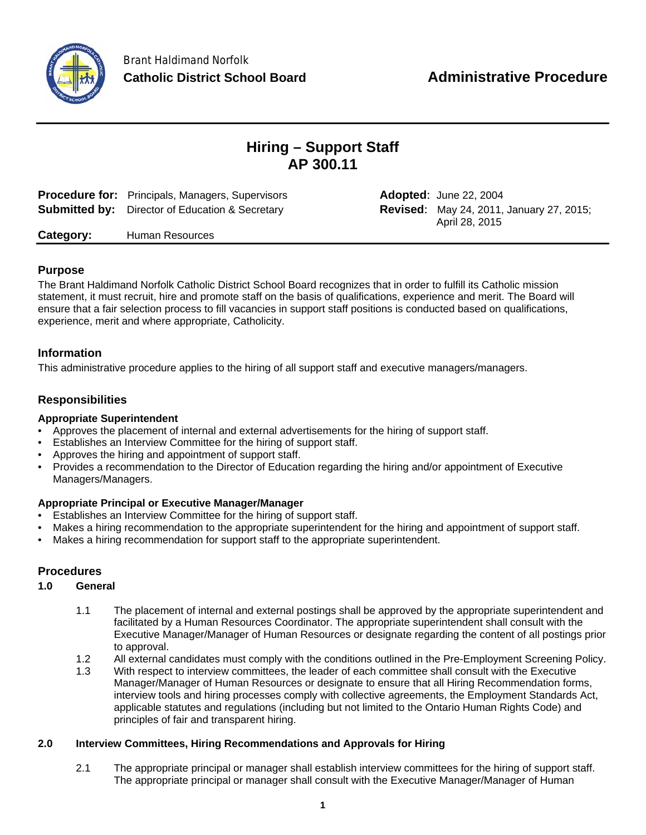

# **Hiring – Support Staff AP 300.11**

| <b>Procedure for:</b> Principals, Managers, Supervisors | <b>Adopted: June 22, 2004</b>                                     |
|---------------------------------------------------------|-------------------------------------------------------------------|
| <b>Submitted by:</b> Director of Education & Secretary  | <b>Revised:</b> May 24, 2011, January 27, 2015;<br>April 28, 2015 |

**Category:** Human Resources

## **Purpose**

The Brant Haldimand Norfolk Catholic District School Board recognizes that in order to fulfill its Catholic mission statement, it must recruit, hire and promote staff on the basis of qualifications, experience and merit. The Board will ensure that a fair selection process to fill vacancies in support staff positions is conducted based on qualifications, experience, merit and where appropriate, Catholicity.

## **Information**

This administrative procedure applies to the hiring of all support staff and executive managers/managers.

# **Responsibilities**

## **Appropriate Superintendent**

- Approves the placement of internal and external advertisements for the hiring of support staff.
- Establishes an Interview Committee for the hiring of support staff.
- Approves the hiring and appointment of support staff.
- Provides a recommendation to the Director of Education regarding the hiring and/or appointment of Executive Managers/Managers.

#### **Appropriate Principal or Executive Manager/Manager**

- Establishes an Interview Committee for the hiring of support staff.
- Makes a hiring recommendation to the appropriate superintendent for the hiring and appointment of support staff.
- Makes a hiring recommendation for support staff to the appropriate superintendent.

## **Procedures**

## **1.0 General**

- 1.1 The placement of internal and external postings shall be approved by the appropriate superintendent and facilitated by a Human Resources Coordinator. The appropriate superintendent shall consult with the Executive Manager/Manager of Human Resources or designate regarding the content of all postings prior to approval.
- 1.2 All external candidates must comply with the conditions outlined in the Pre-Employment Screening Policy.
- 1.3 With respect to interview committees, the leader of each committee shall consult with the Executive Manager/Manager of Human Resources or designate to ensure that all Hiring Recommendation forms, interview tools and hiring processes comply with collective agreements, the Employment Standards Act, applicable statutes and regulations (including but not limited to the Ontario Human Rights Code) and principles of fair and transparent hiring.

#### **2.0 Interview Committees, Hiring Recommendations and Approvals for Hiring**

2.1 The appropriate principal or manager shall establish interview committees for the hiring of support staff. The appropriate principal or manager shall consult with the Executive Manager/Manager of Human